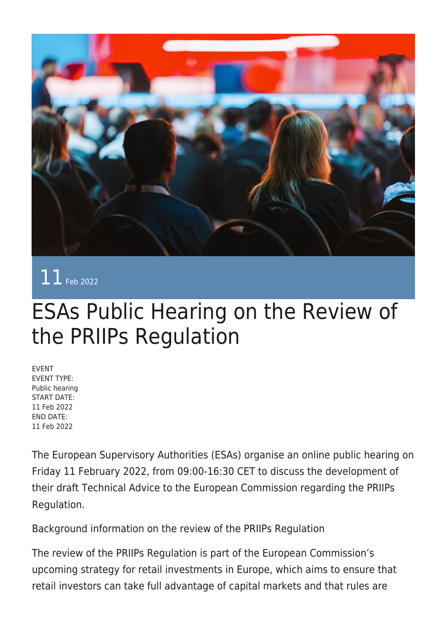

11 Feb 2022

## ESAs Public Hearing on the Review of the PRIIPs Regulation

EVENT EVENT TYPE: Public hearing START DATE: 11 Feb 2022 END DATE: 11 Feb 2022

The European Supervisory Authorities (ESAs) organise an online public hearing on Friday 11 February 2022, from 09:00-16:30 CET to discuss the development of their draft Technical Advice to the European Commission regarding the PRIIPs Regulation.

Background information on the review of the PRIIPs Regulation

The review of the PRIIPs Regulation is part of the European Commission's upcoming strategy for retail investments in Europe, which aims to ensure that retail investors can take full advantage of capital markets and that rules are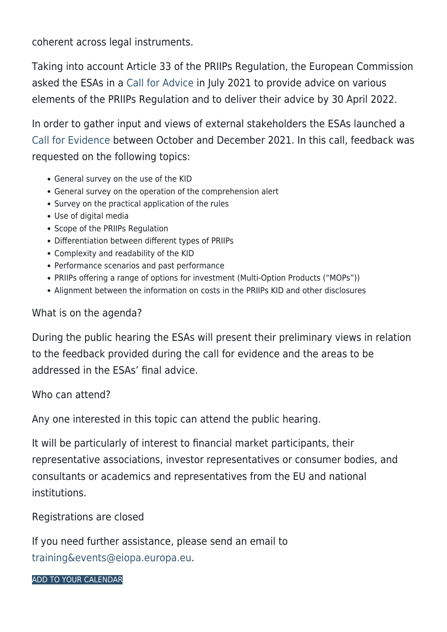coherent across legal instruments.

Taking into account Article 33 of the PRIIPs Regulation, the European Commission asked the ESAs in a [Call for Advice](https://www.eiopa.europa.eu/document-library/call-advice/call-advice-joint-committee-of-european-supervisory-authorities) in July 2021 to provide advice on various elements of the PRIIPs Regulation and to deliver their advice by 30 April 2022.

In order to gather input and views of external stakeholders the ESAs launched a [Call for Evidence](https://www.eiopa.europa.eu/media/news/esas-invite-stakeholders-input-priips-review) between October and December 2021. In this call, feedback was requested on the following topics:

- General survey on the use of the KID
- General survey on the operation of the comprehension alert
- Survey on the practical application of the rules
- Use of digital media
- Scope of the PRIIPs Regulation
- Differentiation between different types of PRIIPs
- Complexity and readability of the KID
- Performance scenarios and past performance
- PRIIPs offering a range of options for investment (Multi-Option Products ("MOPs"))
- Alignment between the information on costs in the PRIIPs KID and other disclosures

## What is on the agenda?

During the public hearing the ESAs will present their preliminary views in relation to the feedback provided during the call for evidence and the areas to be addressed in the ESAs' final advice.

Who can attend?

Any one interested in this topic can attend the public hearing.

It will be particularly of interest to financial market participants, their representative associations, investor representatives or consumer bodies, and consultants or academics and representatives from the EU and national institutions.

Registrations are closed

If you need further assistance, please send an email to [training&events@eiopa.europa.eu](mailto:training&events@eiopa.europa.eu).

[ADD TO YOUR CALENDAR](https://www.eiopa.europa.eu/calendar/ical/8059/calendar.ics)